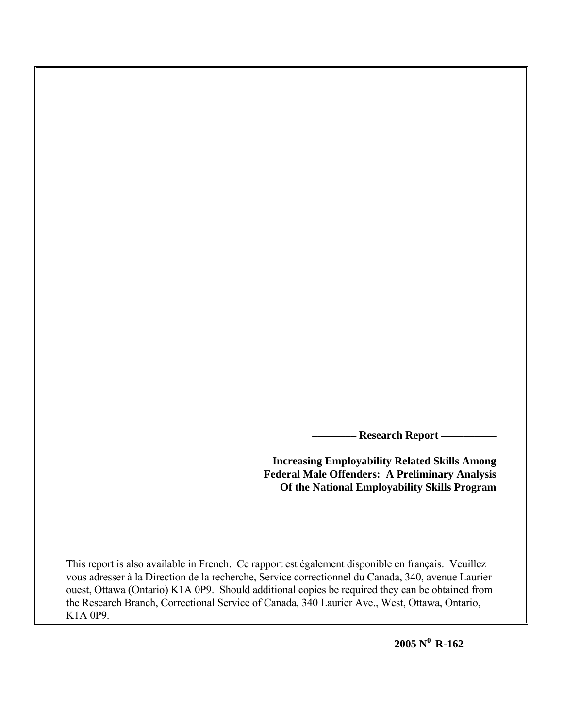**\_\_\_\_\_\_\_\_ Research Report \_\_\_\_\_\_\_\_\_\_** 

**Increasing Employability Related Skills Among Federal Male Offenders: A Preliminary Analysis Of the National Employability Skills Program**

This report is also available in French. Ce rapport est également disponible en français. Veuillez vous adresser à la Direction de la recherche, Service correctionnel du Canada, 340, avenue Laurier ouest, Ottawa (Ontario) K1A 0P9. Should additional copies be required they can be obtained from the Research Branch, Correctional Service of Canada, 340 Laurier Ave., West, Ottawa, Ontario, K1A 0P9.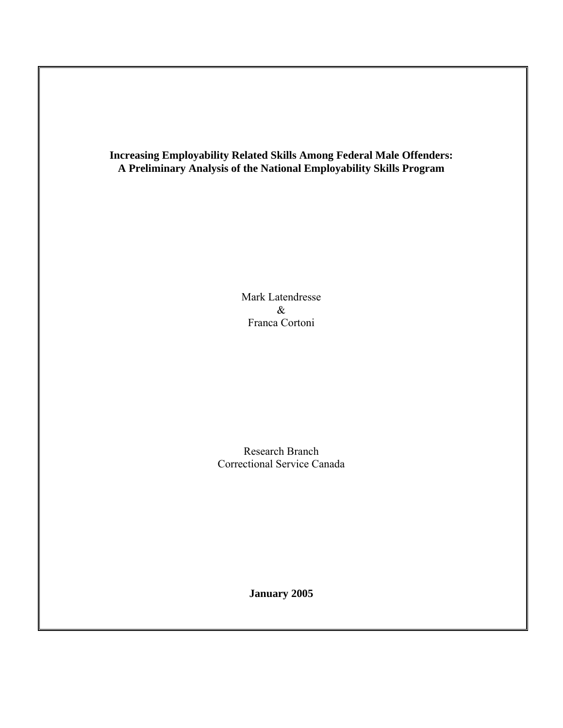**Increasing Employability Related Skills Among Federal Male Offenders: A Preliminary Analysis of the National Employability Skills Program** 

> Mark Latendresse & Franca Cortoni

Research Branch Correctional Service Canada

**January 2005**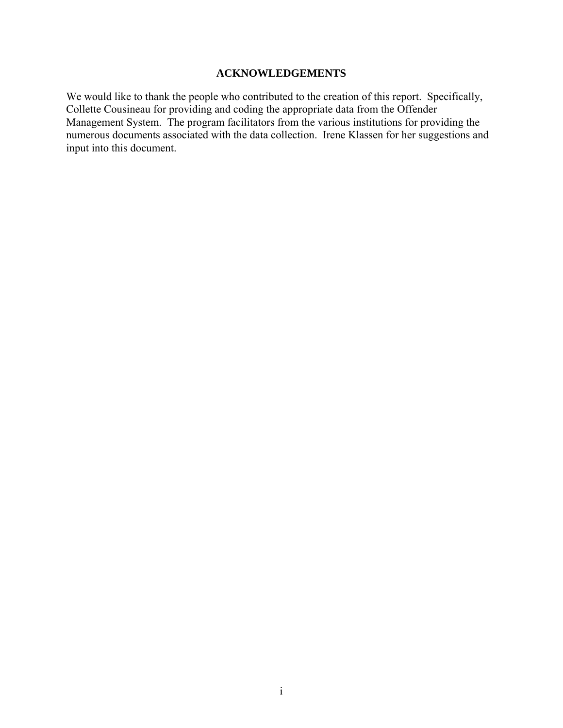# **ACKNOWLEDGEMENTS**

We would like to thank the people who contributed to the creation of this report. Specifically, Collette Cousineau for providing and coding the appropriate data from the Offender Management System. The program facilitators from the various institutions for providing the numerous documents associated with the data collection. Irene Klassen for her suggestions and input into this document.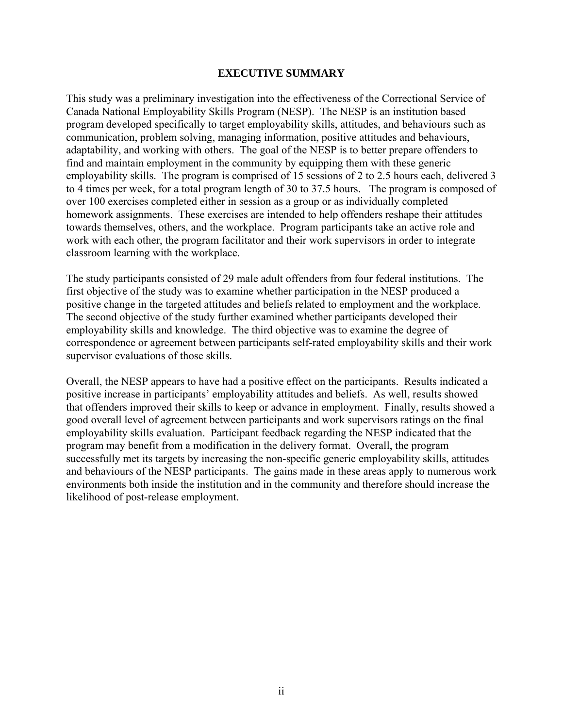# **EXECUTIVE SUMMARY**

This study was a preliminary investigation into the effectiveness of the Correctional Service of Canada National Employability Skills Program (NESP). The NESP is an institution based program developed specifically to target employability skills, attitudes, and behaviours such as communication, problem solving, managing information, positive attitudes and behaviours, adaptability, and working with others. The goal of the NESP is to better prepare offenders to find and maintain employment in the community by equipping them with these generic employability skills. The program is comprised of 15 sessions of 2 to 2.5 hours each, delivered 3 to 4 times per week, for a total program length of 30 to 37.5 hours. The program is composed of over 100 exercises completed either in session as a group or as individually completed homework assignments. These exercises are intended to help offenders reshape their attitudes towards themselves, others, and the workplace. Program participants take an active role and work with each other, the program facilitator and their work supervisors in order to integrate classroom learning with the workplace.

The study participants consisted of 29 male adult offenders from four federal institutions. The first objective of the study was to examine whether participation in the NESP produced a positive change in the targeted attitudes and beliefs related to employment and the workplace. The second objective of the study further examined whether participants developed their employability skills and knowledge. The third objective was to examine the degree of correspondence or agreement between participants self-rated employability skills and their work supervisor evaluations of those skills.

Overall, the NESP appears to have had a positive effect on the participants. Results indicated a positive increase in participants' employability attitudes and beliefs. As well, results showed that offenders improved their skills to keep or advance in employment. Finally, results showed a good overall level of agreement between participants and work supervisors ratings on the final employability skills evaluation. Participant feedback regarding the NESP indicated that the program may benefit from a modification in the delivery format. Overall, the program successfully met its targets by increasing the non-specific generic employability skills, attitudes and behaviours of the NESP participants. The gains made in these areas apply to numerous work environments both inside the institution and in the community and therefore should increase the likelihood of post-release employment.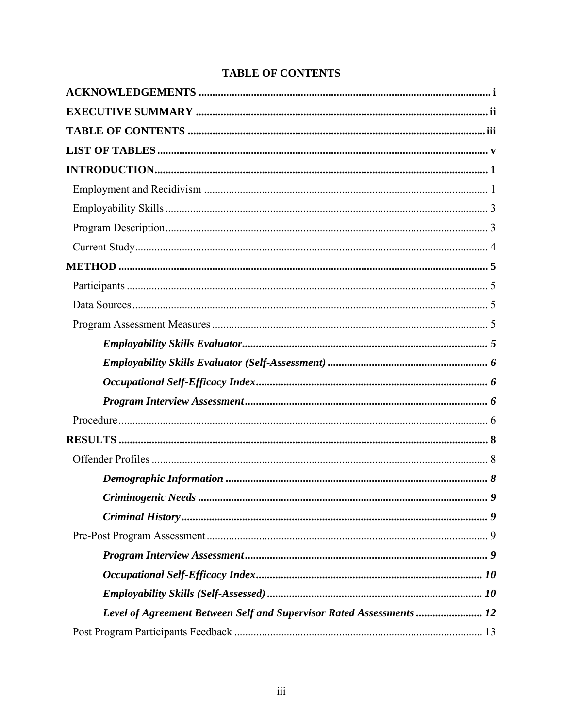|  | <b>TABLE OF CONTENTS</b> |
|--|--------------------------|
|--|--------------------------|

| Level of Agreement Between Self and Supervisor Rated Assessments  12 |  |
|----------------------------------------------------------------------|--|
|                                                                      |  |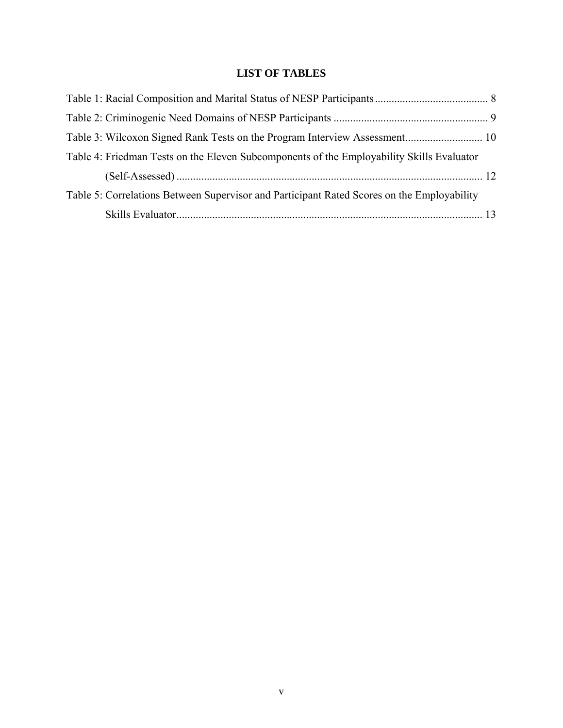# **LIST OF TABLES**

| Table 4: Friedman Tests on the Eleven Subcomponents of the Employability Skills Evaluator  |  |
|--------------------------------------------------------------------------------------------|--|
|                                                                                            |  |
| Table 5: Correlations Between Supervisor and Participant Rated Scores on the Employability |  |
|                                                                                            |  |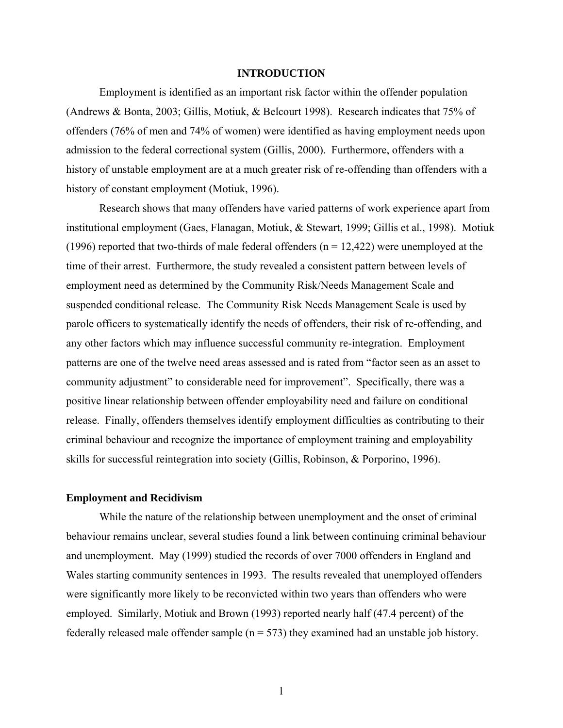#### **INTRODUCTION**

Employment is identified as an important risk factor within the offender population (Andrews & Bonta, 2003; Gillis, Motiuk, & Belcourt 1998). Research indicates that 75% of offenders (76% of men and 74% of women) were identified as having employment needs upon admission to the federal correctional system (Gillis, 2000). Furthermore, offenders with a history of unstable employment are at a much greater risk of re-offending than offenders with a history of constant employment (Motiuk, 1996).

 Research shows that many offenders have varied patterns of work experience apart from institutional employment (Gaes, Flanagan, Motiuk, & Stewart, 1999; Gillis et al., 1998). Motiuk (1996) reported that two-thirds of male federal offenders ( $n = 12,422$ ) were unemployed at the time of their arrest. Furthermore, the study revealed a consistent pattern between levels of employment need as determined by the Community Risk/Needs Management Scale and suspended conditional release. The Community Risk Needs Management Scale is used by parole officers to systematically identify the needs of offenders, their risk of re-offending, and any other factors which may influence successful community re-integration. Employment patterns are one of the twelve need areas assessed and is rated from "factor seen as an asset to community adjustment" to considerable need for improvement". Specifically, there was a positive linear relationship between offender employability need and failure on conditional release. Finally, offenders themselves identify employment difficulties as contributing to their criminal behaviour and recognize the importance of employment training and employability skills for successful reintegration into society (Gillis, Robinson, & Porporino, 1996).

#### **Employment and Recidivism**

While the nature of the relationship between unemployment and the onset of criminal behaviour remains unclear, several studies found a link between continuing criminal behaviour and unemployment. May (1999) studied the records of over 7000 offenders in England and Wales starting community sentences in 1993. The results revealed that unemployed offenders were significantly more likely to be reconvicted within two years than offenders who were employed. Similarly, Motiuk and Brown (1993) reported nearly half (47.4 percent) of the federally released male offender sample ( $n = 573$ ) they examined had an unstable job history.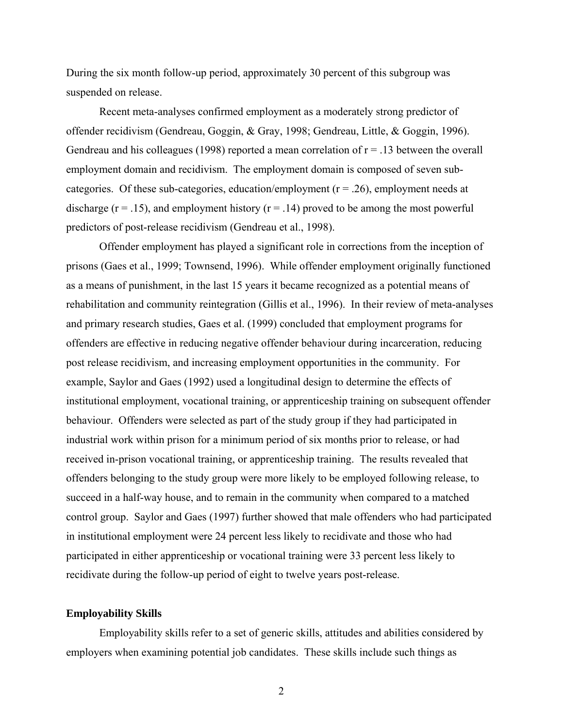During the six month follow-up period, approximately 30 percent of this subgroup was suspended on release.

 Recent meta-analyses confirmed employment as a moderately strong predictor of offender recidivism (Gendreau, Goggin, & Gray, 1998; Gendreau, Little, & Goggin, 1996). Gendreau and his colleagues (1998) reported a mean correlation of  $r = .13$  between the overall employment domain and recidivism. The employment domain is composed of seven subcategories. Of these sub-categories, education/employment  $(r = .26)$ , employment needs at discharge ( $r = .15$ ), and employment history ( $r = .14$ ) proved to be among the most powerful predictors of post-release recidivism (Gendreau et al., 1998).

 Offender employment has played a significant role in corrections from the inception of prisons (Gaes et al., 1999; Townsend, 1996). While offender employment originally functioned as a means of punishment, in the last 15 years it became recognized as a potential means of rehabilitation and community reintegration (Gillis et al., 1996). In their review of meta-analyses and primary research studies, Gaes et al. (1999) concluded that employment programs for offenders are effective in reducing negative offender behaviour during incarceration, reducing post release recidivism, and increasing employment opportunities in the community. For example, Saylor and Gaes (1992) used a longitudinal design to determine the effects of institutional employment, vocational training, or apprenticeship training on subsequent offender behaviour. Offenders were selected as part of the study group if they had participated in industrial work within prison for a minimum period of six months prior to release, or had received in-prison vocational training, or apprenticeship training. The results revealed that offenders belonging to the study group were more likely to be employed following release, to succeed in a half-way house, and to remain in the community when compared to a matched control group. Saylor and Gaes (1997) further showed that male offenders who had participated in institutional employment were 24 percent less likely to recidivate and those who had participated in either apprenticeship or vocational training were 33 percent less likely to recidivate during the follow-up period of eight to twelve years post-release.

#### **Employability Skills**

 Employability skills refer to a set of generic skills, attitudes and abilities considered by employers when examining potential job candidates. These skills include such things as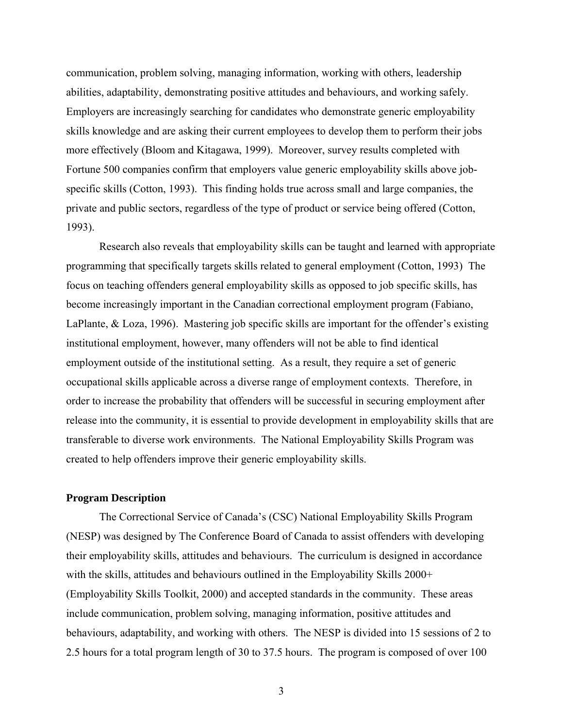communication, problem solving, managing information, working with others, leadership abilities, adaptability, demonstrating positive attitudes and behaviours, and working safely. Employers are increasingly searching for candidates who demonstrate generic employability skills knowledge and are asking their current employees to develop them to perform their jobs more effectively (Bloom and Kitagawa, 1999). Moreover, survey results completed with Fortune 500 companies confirm that employers value generic employability skills above jobspecific skills (Cotton, 1993). This finding holds true across small and large companies, the private and public sectors, regardless of the type of product or service being offered (Cotton, 1993).

Research also reveals that employability skills can be taught and learned with appropriate programming that specifically targets skills related to general employment (Cotton, 1993) The focus on teaching offenders general employability skills as opposed to job specific skills, has become increasingly important in the Canadian correctional employment program (Fabiano, LaPlante, & Loza, 1996). Mastering job specific skills are important for the offender's existing institutional employment, however, many offenders will not be able to find identical employment outside of the institutional setting. As a result, they require a set of generic occupational skills applicable across a diverse range of employment contexts. Therefore, in order to increase the probability that offenders will be successful in securing employment after release into the community, it is essential to provide development in employability skills that are transferable to diverse work environments. The National Employability Skills Program was created to help offenders improve their generic employability skills.

# **Program Description**

The Correctional Service of Canada's (CSC) National Employability Skills Program (NESP) was designed by The Conference Board of Canada to assist offenders with developing their employability skills, attitudes and behaviours. The curriculum is designed in accordance with the skills, attitudes and behaviours outlined in the Employability Skills 2000+ (Employability Skills Toolkit, 2000) and accepted standards in the community. These areas include communication, problem solving, managing information, positive attitudes and behaviours, adaptability, and working with others. The NESP is divided into 15 sessions of 2 to 2.5 hours for a total program length of 30 to 37.5 hours. The program is composed of over 100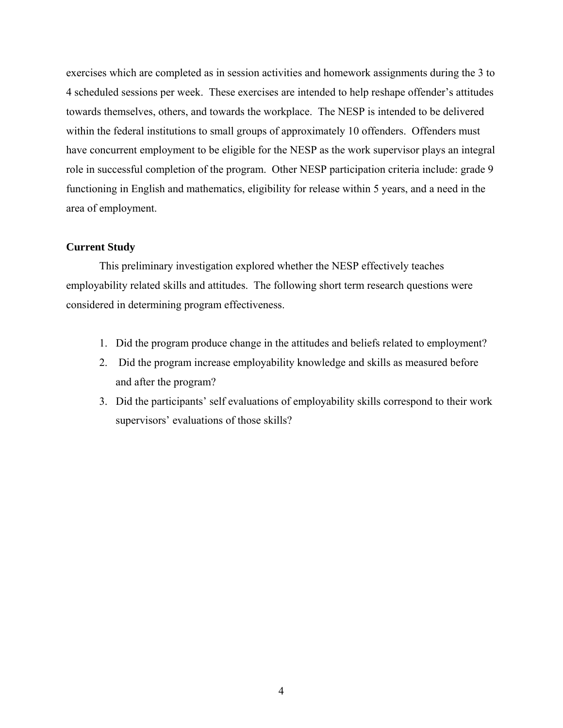exercises which are completed as in session activities and homework assignments during the 3 to 4 scheduled sessions per week. These exercises are intended to help reshape offender's attitudes towards themselves, others, and towards the workplace. The NESP is intended to be delivered within the federal institutions to small groups of approximately 10 offenders. Offenders must have concurrent employment to be eligible for the NESP as the work supervisor plays an integral role in successful completion of the program. Other NESP participation criteria include: grade 9 functioning in English and mathematics, eligibility for release within 5 years, and a need in the area of employment.

# **Current Study**

This preliminary investigation explored whether the NESP effectively teaches employability related skills and attitudes. The following short term research questions were considered in determining program effectiveness.

- 1. Did the program produce change in the attitudes and beliefs related to employment?
- 2. Did the program increase employability knowledge and skills as measured before and after the program?
- 3. Did the participants' self evaluations of employability skills correspond to their work supervisors' evaluations of those skills?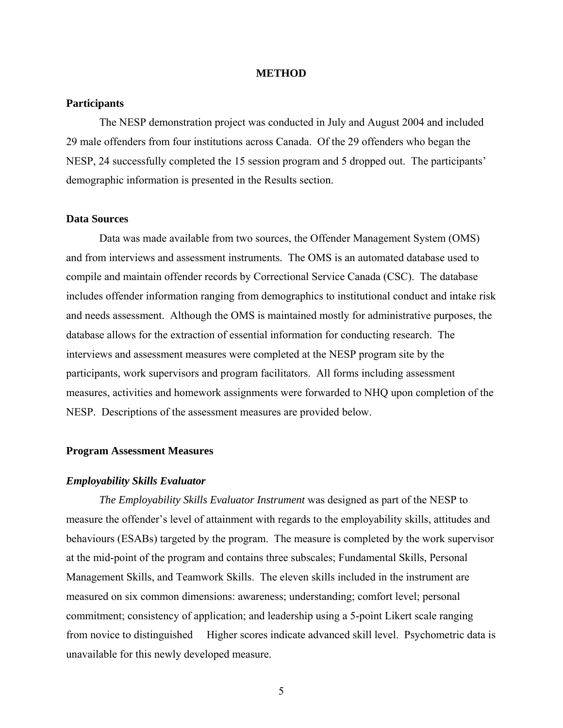#### **METHOD**

# <span id="page-11-0"></span>**Participants**

The NESP demonstration project was conducted in July and August 2004 and included 29 male offenders from four institutions across Canada. Of the 29 offenders who began the NESP, 24 successfully completed the 15 session program and 5 dropped out. The participants' demographic information is presented in the Results section.

# **Data Sources**

 Data was made available from two sources, the Offender Management System (OMS) and from interviews and assessment instruments. The OMS is an automated database used to compile and maintain offender records by Correctional Service Canada (CSC). The database includes offender information ranging from demographics to institutional conduct and intake risk and needs assessment. Although the OMS is maintained mostly for administrative purposes, the database allows for the extraction of essential information for conducting research. The interviews and assessment measures were completed at the NESP program site by the participants, work supervisors and program facilitators. All forms including assessment measures, activities and homework assignments were forwarded to NHQ upon completion of the NESP. Descriptions of the assessment measures are provided below.

# **Program Assessment Measures**

#### *Employability Skills Evaluator*

*The Employability Skills Evaluator Instrument* was designed as part of the NESP to measure the offender's level of attainment with regards to the employability skills, attitudes and behaviours (ESABs) targeted by the program. The measure is completed by the work supervisor at the mid-point of the program and contains three subscales; Fundamental Skills, Personal Management Skills, and Teamwork Skills. The eleven skills included in the instrument are measured on six common dimensions: awareness; understanding; comfort level; personal commitment; consistency of application; and leadership using a 5-point Likert scale ranging from novice to distinguished Higher scores indicate advanced skill level. Psychometric data is unavailable for this newly developed measure.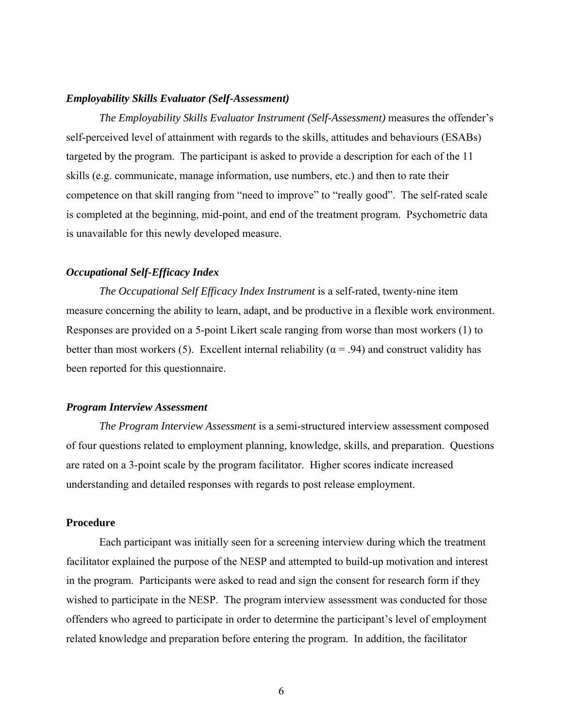#### <span id="page-12-0"></span>*Employability Skills Evaluator (Self-Assessment)*

*The Employability Skills Evaluator Instrument (Self-Assessment)* measures the offender's self-perceived level of attainment with regards to the skills, attitudes and behaviours (ESABs) targeted by the program. The participant is asked to provide a description for each of the 11 skills (e.g. communicate, manage information, use numbers, etc.) and then to rate their competence on that skill ranging from "need to improve" to "really good". The self-rated scale is completed at the beginning, mid-point, and end of the treatment program. Psychometric data is unavailable for this newly developed measure.

#### *Occupational Self-Efficacy Index*

*The Occupational Self Efficacy Index Instrument* is a self-rated, twenty-nine item measure concerning the ability to learn, adapt, and be productive in a flexible work environment. Responses are provided on a 5-point Likert scale ranging from worse than most workers (1) to better than most workers (5). Excellent internal reliability ( $\alpha$  = .94) and construct validity has been reported for this questionnaire.

#### *Program Interview Assessment*

*The Program Interview Assessment* is a semi-structured interview assessment composed of four questions related to employment planning, knowledge, skills, and preparation. Questions are rated on a 3-point scale by the program facilitator. Higher scores indicate increased understanding and detailed responses with regards to post release employment.

#### **Procedure**

Each participant was initially seen for a screening interview during which the treatment facilitator explained the purpose of the NESP and attempted to build-up motivation and interest in the program. Participants were asked to read and sign the consent for research form if they wished to participate in the NESP. The program interview assessment was conducted for those offenders who agreed to participate in order to determine the participant's level of employment related knowledge and preparation before entering the program. In addition, the facilitator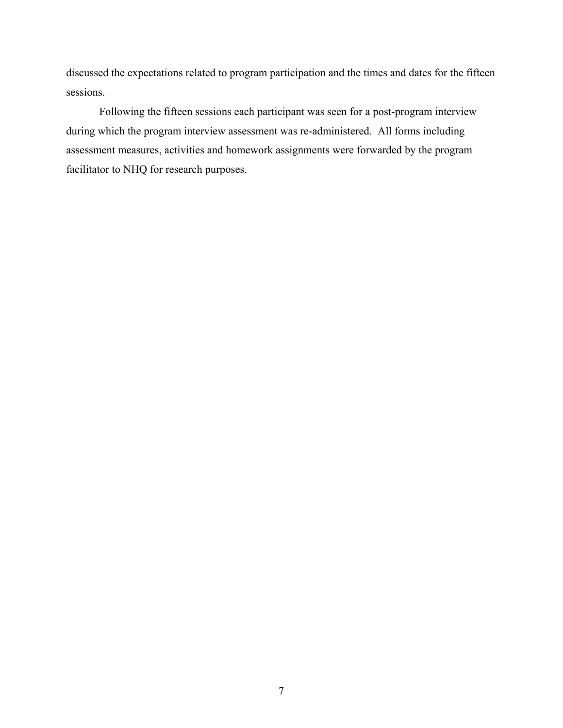discussed the expectations related to program participation and the times and dates for the fifteen sessions.

Following the fifteen sessions each participant was seen for a post-program interview during which the program interview assessment was re-administered. All forms including assessment measures, activities and homework assignments were forwarded by the program facilitator to NHQ for research purposes.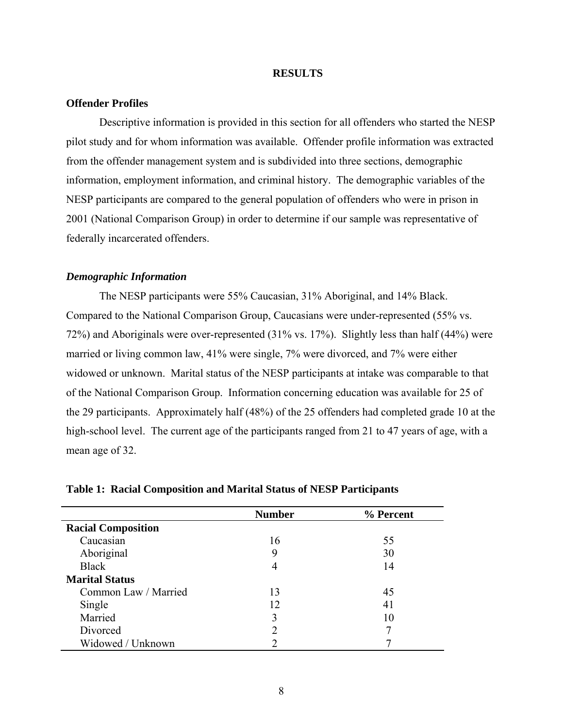#### **RESULTS**

# <span id="page-14-0"></span>**Offender Profiles**

 Descriptive information is provided in this section for all offenders who started the NESP pilot study and for whom information was available. Offender profile information was extracted from the offender management system and is subdivided into three sections, demographic information, employment information, and criminal history. The demographic variables of the NESP participants are compared to the general population of offenders who were in prison in 2001 (National Comparison Group) in order to determine if our sample was representative of federally incarcerated offenders.

#### *Demographic Information*

 The NESP participants were 55% Caucasian, 31% Aboriginal, and 14% Black. Compared to the National Comparison Group, Caucasians were under-represented (55% vs. 72%) and Aboriginals were over-represented (31% vs. 17%). Slightly less than half (44%) were married or living common law, 41% were single, 7% were divorced, and 7% were either widowed or unknown. Marital status of the NESP participants at intake was comparable to that of the National Comparison Group. Information concerning education was available for 25 of the 29 participants. Approximately half (48%) of the 25 offenders had completed grade 10 at the high-school level. The current age of the participants ranged from 21 to 47 years of age, with a mean age of 32.

|                           | <b>Number</b> | % Percent |
|---------------------------|---------------|-----------|
| <b>Racial Composition</b> |               |           |
| Caucasian                 | 16            | 55        |
| Aboriginal                | 9             | 30        |
| <b>Black</b>              | 4             | 14        |
| <b>Marital Status</b>     |               |           |
| Common Law / Married      | 13            | 45        |
| Single                    | 12            | 41        |
| Married                   | 3             | 10        |
| Divorced                  |               |           |
| Widowed / Unknown         |               |           |

#### **Table 1: Racial Composition and Marital Status of NESP Participants**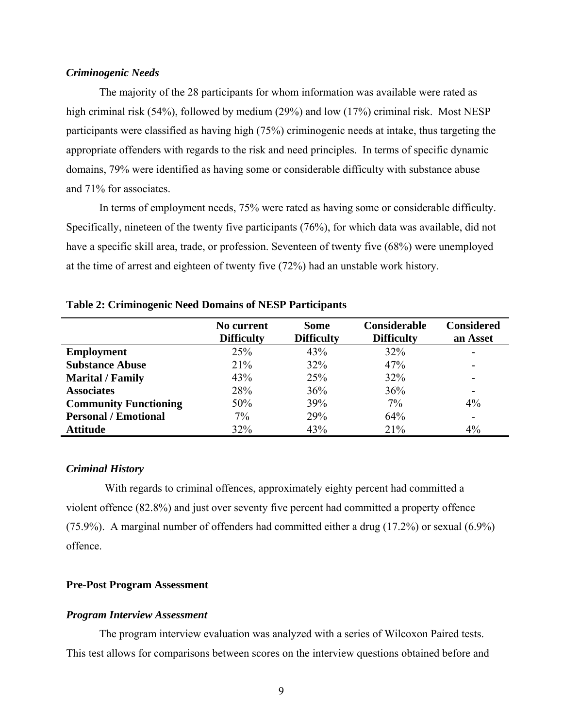# <span id="page-15-0"></span>*Criminogenic Needs*

The majority of the 28 participants for whom information was available were rated as high criminal risk (54%), followed by medium (29%) and low (17%) criminal risk. Most NESP participants were classified as having high (75%) criminogenic needs at intake, thus targeting the appropriate offenders with regards to the risk and need principles. In terms of specific dynamic domains, 79% were identified as having some or considerable difficulty with substance abuse and 71% for associates.

In terms of employment needs, 75% were rated as having some or considerable difficulty. Specifically, nineteen of the twenty five participants (76%), for which data was available, did not have a specific skill area, trade, or profession. Seventeen of twenty five (68%) were unemployed at the time of arrest and eighteen of twenty five (72%) had an unstable work history.

|                              | No current<br><b>Difficulty</b> | <b>Some</b><br><b>Difficulty</b> | Considerable<br><b>Difficulty</b> | <b>Considered</b><br>an Asset |
|------------------------------|---------------------------------|----------------------------------|-----------------------------------|-------------------------------|
| <b>Employment</b>            | 25%                             | 43%                              | 32%                               | ۰                             |
| <b>Substance Abuse</b>       | 21%                             | 32%                              | 47%                               | ۰                             |
| <b>Marital / Family</b>      | 43%                             | 25%                              | 32%                               | -                             |
| <b>Associates</b>            | 28%                             | 36%                              | 36%                               | -                             |
| <b>Community Functioning</b> | 50%                             | 39%                              | 7%                                | 4%                            |
| <b>Personal / Emotional</b>  | 7%                              | 29%                              | 64%                               | $\blacksquare$                |
| <b>Attitude</b>              | 32%                             | 43%                              | 21%                               | 4%                            |

#### **Table 2: Criminogenic Need Domains of NESP Participants**

#### *Criminal History*

 With regards to criminal offences, approximately eighty percent had committed a violent offence (82.8%) and just over seventy five percent had committed a property offence (75.9%). A marginal number of offenders had committed either a drug (17.2%) or sexual (6.9%) offence.

#### **Pre-Post Program Assessment**

#### *Program Interview Assessment*

The program interview evaluation was analyzed with a series of Wilcoxon Paired tests. This test allows for comparisons between scores on the interview questions obtained before and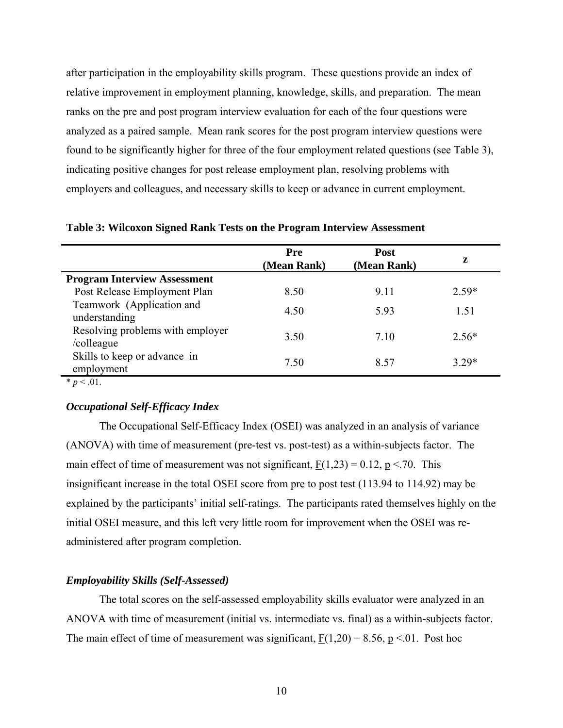<span id="page-16-0"></span>after participation in the employability skills program. These questions provide an index of relative improvement in employment planning, knowledge, skills, and preparation. The mean ranks on the pre and post program interview evaluation for each of the four questions were analyzed as a paired sample. Mean rank scores for the post program interview questions were found to be significantly higher for three of the four employment related questions (see Table 3), indicating positive changes for post release employment plan, resolving problems with employers and colleagues, and necessary skills to keep or advance in current employment.

|                                                | Pre<br>(Mean Rank) | <b>Post</b><br>(Mean Rank) | z       |
|------------------------------------------------|--------------------|----------------------------|---------|
| <b>Program Interview Assessment</b>            |                    |                            |         |
| Post Release Employment Plan                   | 8.50               | 9.11                       | $2.59*$ |
| Teamwork (Application and<br>understanding     | 4.50               | 5.93                       | 1.51    |
| Resolving problems with employer<br>/colleague | 3.50               | 7.10                       | $2.56*$ |
| Skills to keep or advance in<br>employment     | 7.50               | 8.57                       | $3.29*$ |

**Table 3: Wilcoxon Signed Rank Tests on the Program Interview Assessment** 

 $\overline{\qquad \qquad }$   $\qquad \qquad$  *r*  $\frac{1}{p}$  < .01.

# *Occupational Self-Efficacy Index*

The Occupational Self-Efficacy Index (OSEI) was analyzed in an analysis of variance (ANOVA) with time of measurement (pre-test vs. post-test) as a within-subjects factor. The main effect of time of measurement was not significant,  $F(1,23) = 0.12$ ,  $p < 70$ . This insignificant increase in the total OSEI score from pre to post test (113.94 to 114.92) may be explained by the participants' initial self-ratings. The participants rated themselves highly on the initial OSEI measure, and this left very little room for improvement when the OSEI was readministered after program completion.

# *Employability Skills (Self-Assessed)*

The total scores on the self-assessed employability skills evaluator were analyzed in an ANOVA with time of measurement (initial vs. intermediate vs. final) as a within-subjects factor. The main effect of time of measurement was significant,  $F(1,20) = 8.56$ , p <.01. Post hoc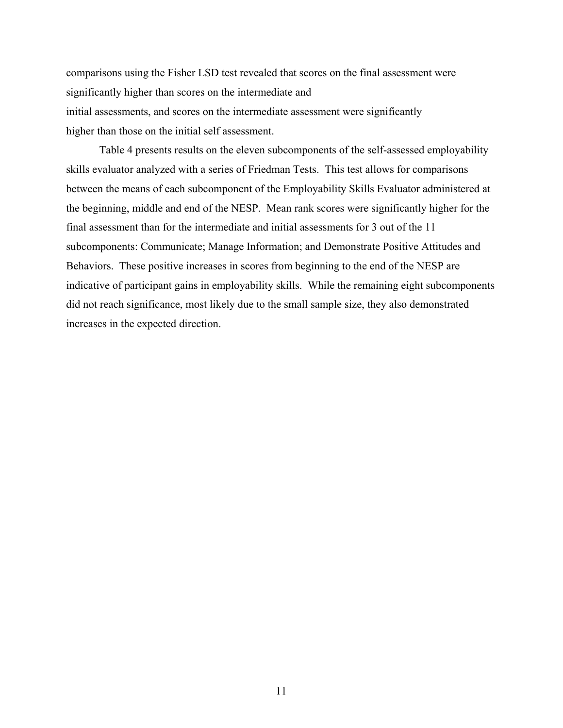comparisons using the Fisher LSD test revealed that scores on the final assessment were significantly higher than scores on the intermediate and initial assessments, and scores on the intermediate assessment were significantly higher than those on the initial self assessment.

Table 4 presents results on the eleven subcomponents of the self-assessed employability skills evaluator analyzed with a series of Friedman Tests. This test allows for comparisons between the means of each subcomponent of the Employability Skills Evaluator administered at the beginning, middle and end of the NESP. Mean rank scores were significantly higher for the final assessment than for the intermediate and initial assessments for 3 out of the 11 subcomponents: Communicate; Manage Information; and Demonstrate Positive Attitudes and Behaviors. These positive increases in scores from beginning to the end of the NESP are indicative of participant gains in employability skills. While the remaining eight subcomponents did not reach significance, most likely due to the small sample size, they also demonstrated increases in the expected direction.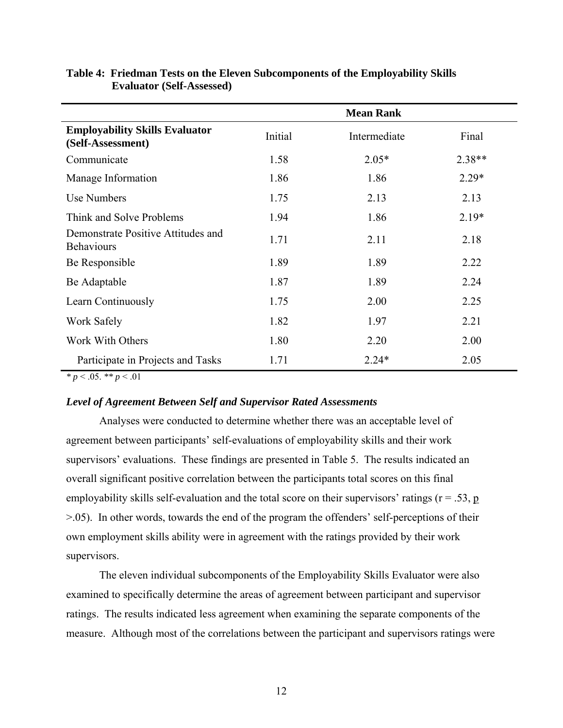|                                                            | <b>Mean Rank</b> |              |          |
|------------------------------------------------------------|------------------|--------------|----------|
| <b>Employability Skills Evaluator</b><br>(Self-Assessment) | Initial          | Intermediate | Final    |
| Communicate                                                | 1.58             | $2.05*$      | $2.38**$ |
| Manage Information                                         | 1.86             | 1.86         | $2.29*$  |
| Use Numbers                                                | 1.75             | 2.13         | 2.13     |
| Think and Solve Problems                                   | 1.94             | 1.86         | $2.19*$  |
| Demonstrate Positive Attitudes and<br><b>Behaviours</b>    | 1.71             | 2.11         | 2.18     |
| Be Responsible                                             | 1.89             | 1.89         | 2.22     |
| Be Adaptable                                               | 1.87             | 1.89         | 2.24     |
| Learn Continuously                                         | 1.75             | 2.00         | 2.25     |
| Work Safely                                                | 1.82             | 1.97         | 2.21     |
| Work With Others                                           | 1.80             | 2.20         | 2.00     |
| Participate in Projects and Tasks                          | 1.71             | $2.24*$      | 2.05     |

# <span id="page-18-0"></span>**Table 4: Friedman Tests on the Eleven Subcomponents of the Employability Skills Evaluator (Self-Assessed)**

*\* p* < .05. *\*\* p* < .01

# *Level of Agreement Between Self and Supervisor Rated Assessments*

Analyses were conducted to determine whether there was an acceptable level of agreement between participants' self-evaluations of employability skills and their work supervisors' evaluations. These findings are presented in Table 5. The results indicated an overall significant positive correlation between the participants total scores on this final employability skills self-evaluation and the total score on their supervisors' ratings ( $r = .53$ ,  $p$ ) >.05). In other words, towards the end of the program the offenders' self-perceptions of their own employment skills ability were in agreement with the ratings provided by their work supervisors.

The eleven individual subcomponents of the Employability Skills Evaluator were also examined to specifically determine the areas of agreement between participant and supervisor ratings. The results indicated less agreement when examining the separate components of the measure. Although most of the correlations between the participant and supervisors ratings were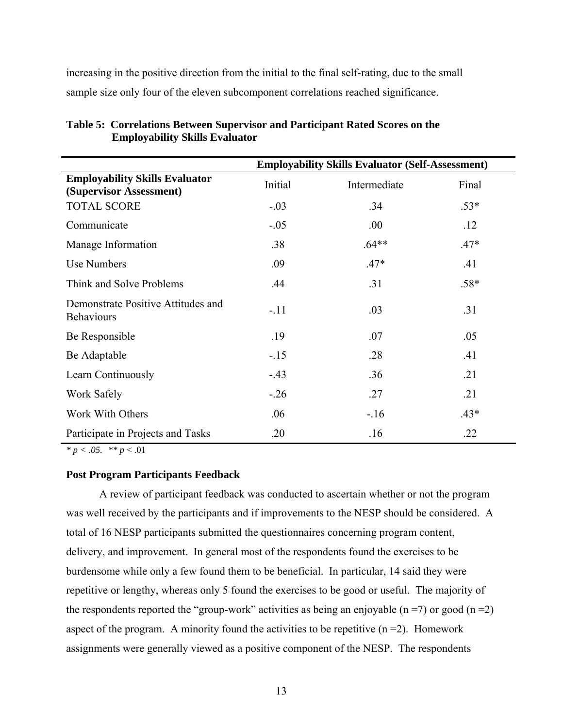<span id="page-19-0"></span>increasing in the positive direction from the initial to the final self-rating, due to the small sample size only four of the eleven subcomponent correlations reached significance.

|                                                                  | <b>Employability Skills Evaluator (Self-Assessment)</b> |              |        |
|------------------------------------------------------------------|---------------------------------------------------------|--------------|--------|
| <b>Employability Skills Evaluator</b><br>(Supervisor Assessment) | Initial                                                 | Intermediate | Final  |
| <b>TOTAL SCORE</b>                                               | $-.03$                                                  | .34          | $.53*$ |
| Communicate                                                      | $-.05$                                                  | .00          | .12    |
| Manage Information                                               | .38                                                     | $.64**$      | $.47*$ |
| <b>Use Numbers</b>                                               | .09                                                     | $.47*$       | .41    |
| Think and Solve Problems                                         | .44                                                     | .31          | $.58*$ |
| Demonstrate Positive Attitudes and<br><b>Behaviours</b>          | $-.11$                                                  | .03          | .31    |
| Be Responsible                                                   | .19                                                     | .07          | .05    |
| Be Adaptable                                                     | $-15$                                                   | .28          | .41    |
| Learn Continuously                                               | $-43$                                                   | .36          | .21    |
| Work Safely                                                      | $-.26$                                                  | .27          | .21    |
| Work With Others                                                 | .06                                                     | $-16$        | $.43*$ |
| Participate in Projects and Tasks                                | .20                                                     | .16          | .22    |

**Table 5: Correlations Between Supervisor and Participant Rated Scores on the Employability Skills Evaluator** 

*\* p < .05. \*\* p* < .01

# **Post Program Participants Feedback**

A review of participant feedback was conducted to ascertain whether or not the program was well received by the participants and if improvements to the NESP should be considered. A total of 16 NESP participants submitted the questionnaires concerning program content, delivery, and improvement. In general most of the respondents found the exercises to be burdensome while only a few found them to be beneficial. In particular, 14 said they were repetitive or lengthy, whereas only 5 found the exercises to be good or useful. The majority of the respondents reported the "group-work" activities as being an enjoyable ( $n = 7$ ) or good ( $n = 2$ ) aspect of the program. A minority found the activities to be repetitive  $(n=2)$ . Homework assignments were generally viewed as a positive component of the NESP. The respondents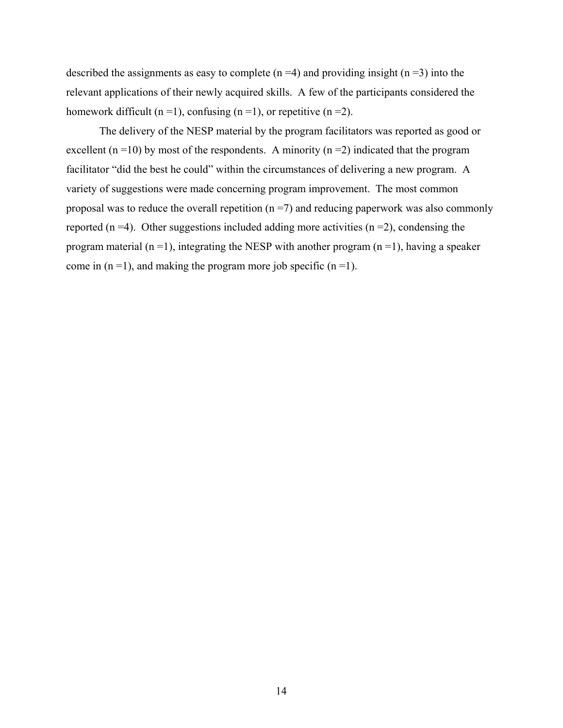described the assignments as easy to complete ( $n = 4$ ) and providing insight ( $n = 3$ ) into the relevant applications of their newly acquired skills. A few of the participants considered the homework difficult (n =1), confusing (n =1), or repetitive (n =2).

 The delivery of the NESP material by the program facilitators was reported as good or excellent  $(n = 10)$  by most of the respondents. A minority  $(n = 2)$  indicated that the program facilitator "did the best he could" within the circumstances of delivering a new program. A variety of suggestions were made concerning program improvement. The most common proposal was to reduce the overall repetition  $(n = 7)$  and reducing paperwork was also commonly reported ( $n = 4$ ). Other suggestions included adding more activities ( $n = 2$ ), condensing the program material ( $n = 1$ ), integrating the NESP with another program ( $n = 1$ ), having a speaker come in  $(n = 1)$ , and making the program more job specific  $(n = 1)$ .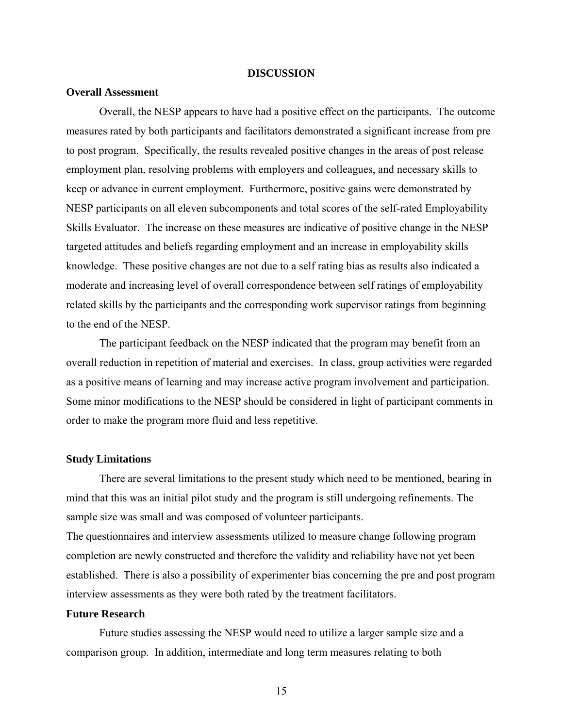#### **DISCUSSION**

# <span id="page-21-0"></span>**Overall Assessment**

 Overall, the NESP appears to have had a positive effect on the participants. The outcome measures rated by both participants and facilitators demonstrated a significant increase from pre to post program. Specifically, the results revealed positive changes in the areas of post release employment plan, resolving problems with employers and colleagues, and necessary skills to keep or advance in current employment. Furthermore, positive gains were demonstrated by NESP participants on all eleven subcomponents and total scores of the self-rated Employability Skills Evaluator. The increase on these measures are indicative of positive change in the NESP targeted attitudes and beliefs regarding employment and an increase in employability skills knowledge. These positive changes are not due to a self rating bias as results also indicated a moderate and increasing level of overall correspondence between self ratings of employability related skills by the participants and the corresponding work supervisor ratings from beginning to the end of the NESP.

 The participant feedback on the NESP indicated that the program may benefit from an overall reduction in repetition of material and exercises. In class, group activities were regarded as a positive means of learning and may increase active program involvement and participation. Some minor modifications to the NESP should be considered in light of participant comments in order to make the program more fluid and less repetitive.

## **Study Limitations**

There are several limitations to the present study which need to be mentioned, bearing in mind that this was an initial pilot study and the program is still undergoing refinements. The sample size was small and was composed of volunteer participants.

The questionnaires and interview assessments utilized to measure change following program completion are newly constructed and therefore the validity and reliability have not yet been established. There is also a possibility of experimenter bias concerning the pre and post program interview assessments as they were both rated by the treatment facilitators.

#### **Future Research**

 Future studies assessing the NESP would need to utilize a larger sample size and a comparison group. In addition, intermediate and long term measures relating to both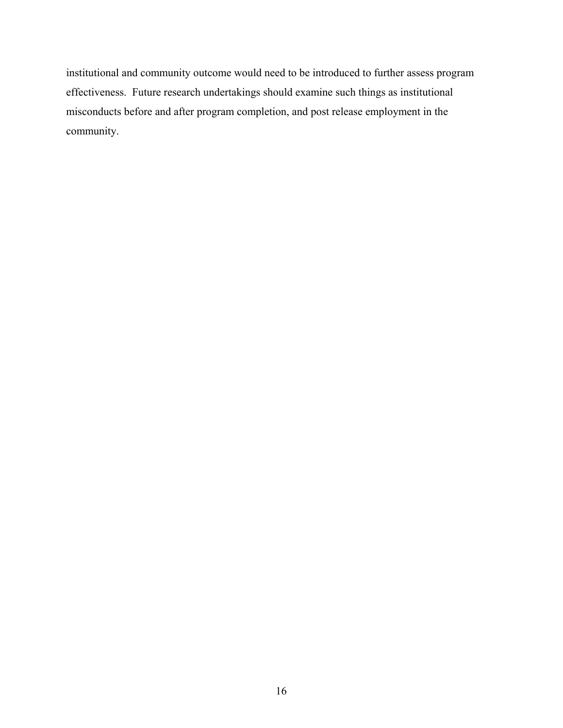institutional and community outcome would need to be introduced to further assess program effectiveness. Future research undertakings should examine such things as institutional misconducts before and after program completion, and post release employment in the community.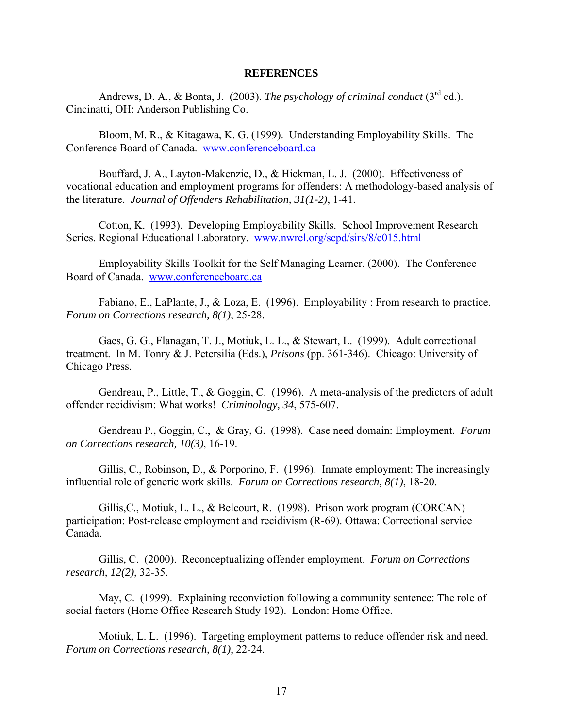#### **REFERENCES**

<span id="page-23-0"></span>Andrews, D. A., & Bonta, J. (2003). *The psychology of criminal conduct* (3<sup>rd</sup> ed.). Cincinatti, OH: Anderson Publishing Co.

Bloom, M. R., & Kitagawa, K. G. (1999). Understanding Employability Skills. The Conference Board of Canada. [www.conferenceboard.ca](http://www.conferenceboard.ca/)

Bouffard, J. A., Layton-Makenzie, D., & Hickman, L. J. (2000). Effectiveness of vocational education and employment programs for offenders: A methodology-based analysis of the literature. *Journal of Offenders Rehabilitation, 31(1-2)*, 1-41.

Cotton, K. (1993). Developing Employability Skills. School Improvement Research Series. Regional Educational Laboratory. [www.nwrel.org/scpd/sirs/8/c015.html](http://www.nwrel.org/scpd/sirs/8/c015.html)

Employability Skills Toolkit for the Self Managing Learner. (2000). The Conference Board of Canada. [www.conferenceboard.ca](http://www.conferenceboard.ca/)

Fabiano, E., LaPlante, J., & Loza, E. (1996). Employability : From research to practice. *Forum on Corrections research, 8(1)*, 25-28.

Gaes, G. G., Flanagan, T. J., Motiuk, L. L., & Stewart, L. (1999). Adult correctional treatment. In M. Tonry & J. Petersilia (Eds.), *Prisons* (pp. 361-346). Chicago: University of Chicago Press.

Gendreau, P., Little, T., & Goggin, C. (1996). A meta-analysis of the predictors of adult offender recidivism: What works! *Criminology, 34*, 575-607.

Gendreau P., Goggin, C., & Gray, G. (1998). Case need domain: Employment. *Forum on Corrections research, 10(3)*, 16-19.

Gillis, C., Robinson, D., & Porporino, F. (1996). Inmate employment: The increasingly influential role of generic work skills. *Forum on Corrections research, 8(1)*, 18-20.

Gillis,C., Motiuk, L. L., & Belcourt, R. (1998). Prison work program (CORCAN) participation: Post-release employment and recidivism (R-69). Ottawa: Correctional service Canada.

Gillis, C. (2000). Reconceptualizing offender employment. *Forum on Corrections research, 12(2)*, 32-35.

May, C. (1999). Explaining reconviction following a community sentence: The role of social factors (Home Office Research Study 192). London: Home Office.

Motiuk, L. L. (1996). Targeting employment patterns to reduce offender risk and need. *Forum on Corrections research, 8(1)*, 22-24.